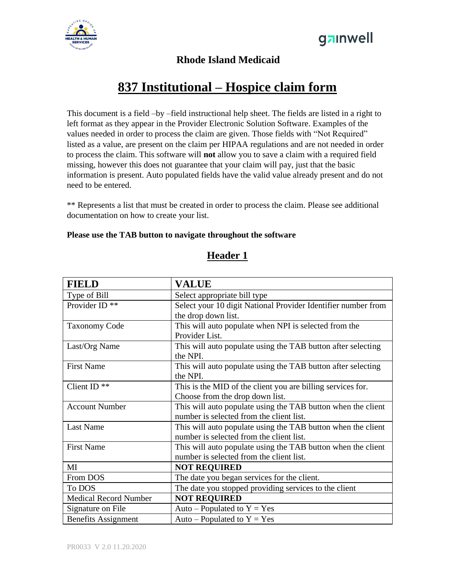



#### **Rhode Island Medicaid**

# **837 Institutional – Hospice claim form**

This document is a field –by –field instructional help sheet. The fields are listed in a right to left format as they appear in the Provider Electronic Solution Software. Examples of the values needed in order to process the claim are given. Those fields with "Not Required" listed as a value, are present on the claim per HIPAA regulations and are not needed in order to process the claim. This software will **not** allow you to save a claim with a required field missing, however this does not guarantee that your claim will pay, just that the basic information is present. Auto populated fields have the valid value already present and do not need to be entered.

\*\* Represents a list that must be created in order to process the claim. Please see additional documentation on how to create your list.

#### **Please use the TAB button to navigate throughout the software**

| <b>FIELD</b>                 | <b>VALUE</b>                                                  |
|------------------------------|---------------------------------------------------------------|
|                              |                                                               |
| Type of Bill                 | Select appropriate bill type                                  |
| Provider ID <sup>**</sup>    | Select your 10 digit National Provider Identifier number from |
|                              | the drop down list.                                           |
| <b>Taxonomy Code</b>         | This will auto populate when NPI is selected from the         |
|                              | Provider List.                                                |
| Last/Org Name                | This will auto populate using the TAB button after selecting  |
|                              | the NPI.                                                      |
| <b>First Name</b>            | This will auto populate using the TAB button after selecting  |
|                              | the NPI.                                                      |
| Client ID <sup>**</sup>      | This is the MID of the client you are billing services for.   |
|                              | Choose from the drop down list.                               |
| <b>Account Number</b>        | This will auto populate using the TAB button when the client  |
|                              | number is selected from the client list.                      |
| <b>Last Name</b>             | This will auto populate using the TAB button when the client  |
|                              | number is selected from the client list.                      |
| <b>First Name</b>            | This will auto populate using the TAB button when the client  |
|                              | number is selected from the client list.                      |
| MI                           | <b>NOT REQUIRED</b>                                           |
| From DOS                     | The date you began services for the client.                   |
| To DOS                       | The date you stopped providing services to the client         |
| <b>Medical Record Number</b> | <b>NOT REQUIRED</b>                                           |
| Signature on File            | Auto – Populated to $Y = Yes$                                 |
| <b>Benefits Assignment</b>   | Auto – Populated to $Y = Yes$                                 |

### **Header 1**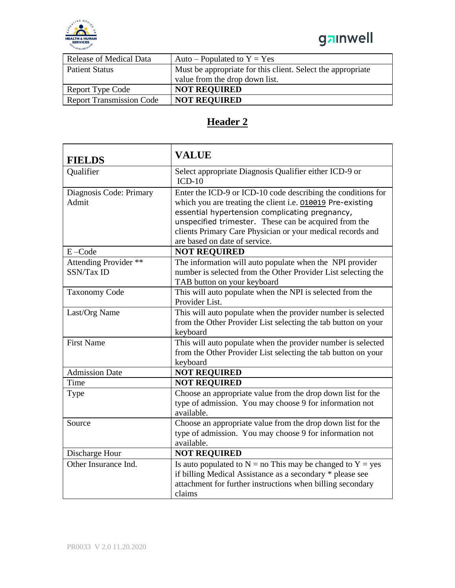



| Release of Medical Data         | Auto – Populated to $Y = Yes$                               |
|---------------------------------|-------------------------------------------------------------|
| <b>Patient Status</b>           | Must be appropriate for this client. Select the appropriate |
|                                 | value from the drop down list.                              |
| Report Type Code                | <b>NOT REQUIRED</b>                                         |
| <b>Report Transmission Code</b> | <b>NOT REQUIRED</b>                                         |

## **Header 2**

| <b>FIELDS</b>                       | <b>VALUE</b>                                                                                                                                                                                                                                                                                                                         |
|-------------------------------------|--------------------------------------------------------------------------------------------------------------------------------------------------------------------------------------------------------------------------------------------------------------------------------------------------------------------------------------|
| Qualifier                           | Select appropriate Diagnosis Qualifier either ICD-9 or<br>$ICD-10$                                                                                                                                                                                                                                                                   |
| Diagnosis Code: Primary<br>Admit    | Enter the ICD-9 or ICD-10 code describing the conditions for<br>which you are treating the client i.e. 010019 Pre-existing<br>essential hypertension complicating pregnancy,<br>unspecified trimester. These can be acquired from the<br>clients Primary Care Physician or your medical records and<br>are based on date of service. |
| $E - Code$                          | <b>NOT REQUIRED</b>                                                                                                                                                                                                                                                                                                                  |
| Attending Provider **<br>SSN/Tax ID | The information will auto populate when the NPI provider<br>number is selected from the Other Provider List selecting the<br>TAB button on your keyboard                                                                                                                                                                             |
| <b>Taxonomy Code</b>                | This will auto populate when the NPI is selected from the<br>Provider List.                                                                                                                                                                                                                                                          |
| Last/Org Name                       | This will auto populate when the provider number is selected<br>from the Other Provider List selecting the tab button on your<br>keyboard                                                                                                                                                                                            |
| <b>First Name</b>                   | This will auto populate when the provider number is selected<br>from the Other Provider List selecting the tab button on your<br>keyboard                                                                                                                                                                                            |
| <b>Admission Date</b>               | <b>NOT REQUIRED</b>                                                                                                                                                                                                                                                                                                                  |
| Time                                | <b>NOT REQUIRED</b>                                                                                                                                                                                                                                                                                                                  |
| Type                                | Choose an appropriate value from the drop down list for the<br>type of admission. You may choose 9 for information not<br>available.                                                                                                                                                                                                 |
| Source                              | Choose an appropriate value from the drop down list for the<br>type of admission. You may choose 9 for information not<br>available.                                                                                                                                                                                                 |
| Discharge Hour                      | <b>NOT REQUIRED</b>                                                                                                                                                                                                                                                                                                                  |
| Other Insurance Ind.                | Is auto populated to $N = no$ This may be changed to $Y = yes$<br>if billing Medical Assistance as a secondary * please see<br>attachment for further instructions when billing secondary<br>claims                                                                                                                                  |